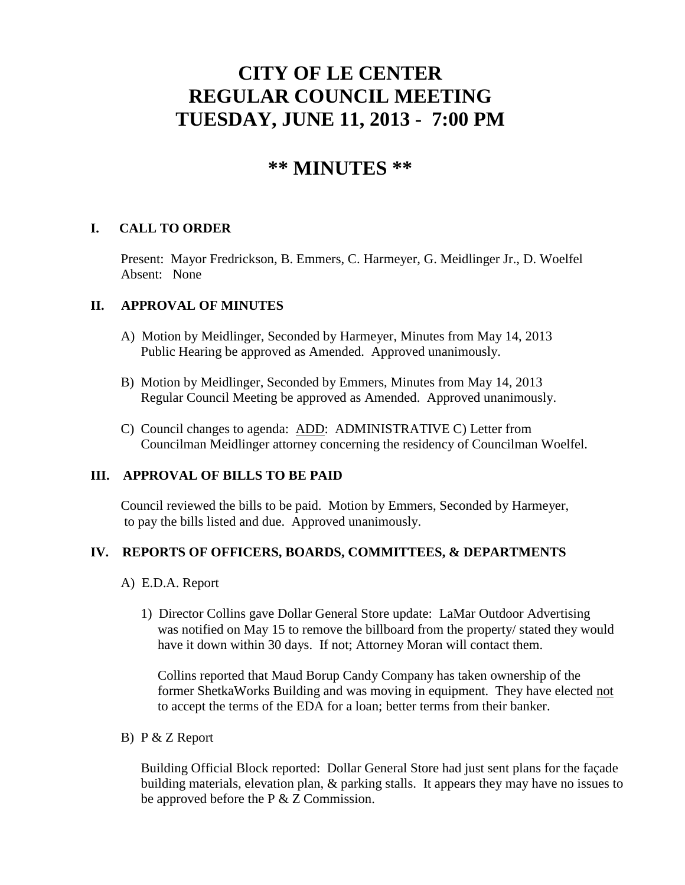# **CITY OF LE CENTER REGULAR COUNCIL MEETING TUESDAY, JUNE 11, 2013 - 7:00 PM**

# **\*\* MINUTES \*\***

# **I. CALL TO ORDER**

Present: Mayor Fredrickson, B. Emmers, C. Harmeyer, G. Meidlinger Jr., D. Woelfel Absent: None

#### **II. APPROVAL OF MINUTES**

- A) Motion by Meidlinger, Seconded by Harmeyer, Minutes from May 14, 2013 Public Hearing be approved as Amended. Approved unanimously.
- B) Motion by Meidlinger, Seconded by Emmers, Minutes from May 14, 2013 Regular Council Meeting be approved as Amended. Approved unanimously.
- C) Council changes to agenda: ADD: ADMINISTRATIVE C) Letter from Councilman Meidlinger attorney concerning the residency of Councilman Woelfel.

#### **III. APPROVAL OF BILLS TO BE PAID**

Council reviewed the bills to be paid. Motion by Emmers, Seconded by Harmeyer, to pay the bills listed and due. Approved unanimously.

#### **IV. REPORTS OF OFFICERS, BOARDS, COMMITTEES, & DEPARTMENTS**

- A) E.D.A. Report
	- 1) Director Collins gave Dollar General Store update: LaMar Outdoor Advertising was notified on May 15 to remove the billboard from the property/ stated they would have it down within 30 days. If not; Attorney Moran will contact them.

 Collins reported that Maud Borup Candy Company has taken ownership of the former ShetkaWorks Building and was moving in equipment. They have elected not to accept the terms of the EDA for a loan; better terms from their banker.

B) P & Z Report

 Building Official Block reported: Dollar General Store had just sent plans for the façade building materials, elevation plan, & parking stalls. It appears they may have no issues to be approved before the P & Z Commission.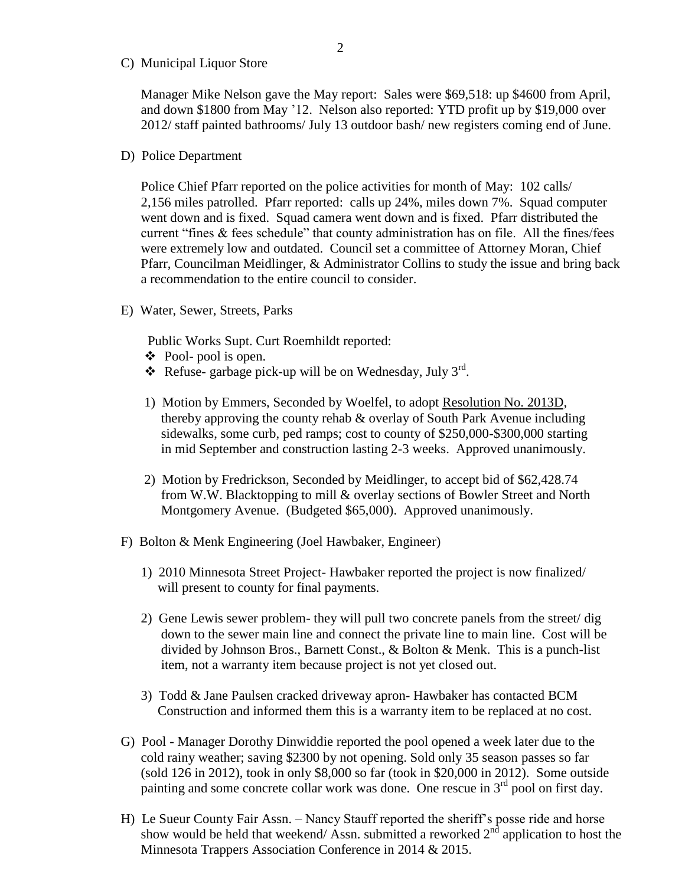C) Municipal Liquor Store

Manager Mike Nelson gave the May report: Sales were \$69,518: up \$4600 from April, and down \$1800 from May '12. Nelson also reported: YTD profit up by \$19,000 over 2012/ staff painted bathrooms/ July 13 outdoor bash/ new registers coming end of June.

D) Police Department

Police Chief Pfarr reported on the police activities for month of May: 102 calls/ 2,156 miles patrolled. Pfarr reported: calls up 24%, miles down 7%. Squad computer went down and is fixed. Squad camera went down and is fixed. Pfarr distributed the current "fines & fees schedule" that county administration has on file. All the fines/fees were extremely low and outdated. Council set a committee of Attorney Moran, Chief Pfarr, Councilman Meidlinger, & Administrator Collins to study the issue and bring back a recommendation to the entire council to consider.

E) Water, Sewer, Streets, Parks

Public Works Supt. Curt Roemhildt reported:

- Pool- pool is open.
- $\bullet$  Refuse-garbage pick-up will be on Wednesday, July 3<sup>rd</sup>.
- 1) Motion by Emmers, Seconded by Woelfel, to adopt Resolution No. 2013D, thereby approving the county rehab & overlay of South Park Avenue including sidewalks, some curb, ped ramps; cost to county of \$250,000-\$300,000 starting in mid September and construction lasting 2-3 weeks. Approved unanimously.
- 2) Motion by Fredrickson, Seconded by Meidlinger, to accept bid of \$62,428.74 from W.W. Blacktopping to mill & overlay sections of Bowler Street and North Montgomery Avenue. (Budgeted \$65,000). Approved unanimously.
- F) Bolton & Menk Engineering (Joel Hawbaker, Engineer)
	- 1) 2010 Minnesota Street Project- Hawbaker reported the project is now finalized/ will present to county for final payments.
	- 2) Gene Lewis sewer problem- they will pull two concrete panels from the street/ dig down to the sewer main line and connect the private line to main line. Cost will be divided by Johnson Bros., Barnett Const., & Bolton & Menk. This is a punch-list item, not a warranty item because project is not yet closed out.
	- 3) Todd & Jane Paulsen cracked driveway apron- Hawbaker has contacted BCM Construction and informed them this is a warranty item to be replaced at no cost.
- G) Pool Manager Dorothy Dinwiddie reported the pool opened a week later due to the cold rainy weather; saving \$2300 by not opening. Sold only 35 season passes so far (sold 126 in 2012), took in only \$8,000 so far (took in \$20,000 in 2012). Some outside painting and some concrete collar work was done. One rescue in  $3<sup>rd</sup>$  pool on first day.
- H) Le Sueur County Fair Assn. Nancy Stauff reported the sheriff's posse ride and horse show would be held that weekend/ Assn. submitted a reworked  $2<sup>nd</sup>$  application to host the Minnesota Trappers Association Conference in 2014 & 2015.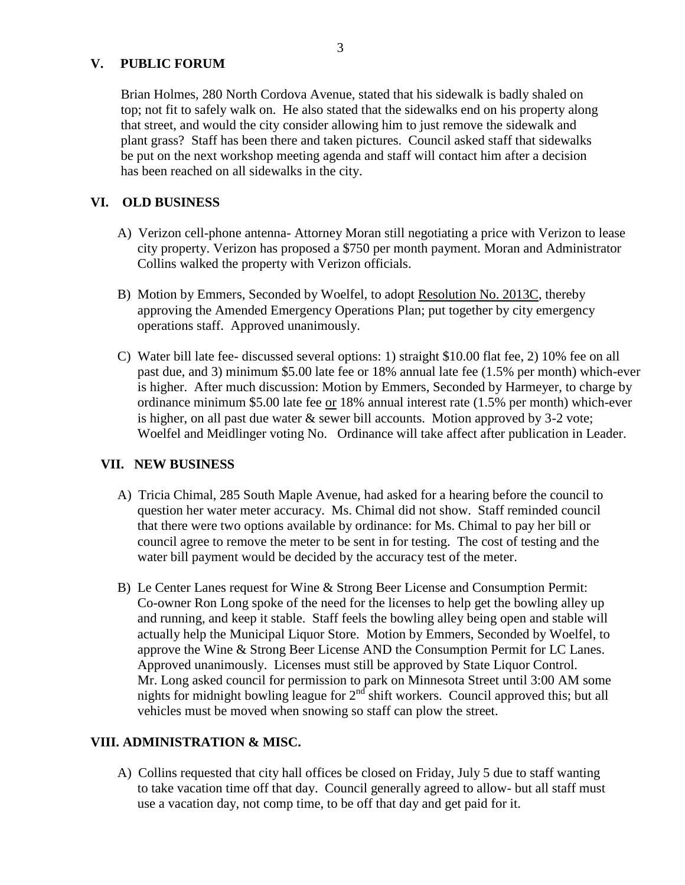#### **V. PUBLIC FORUM**

 Brian Holmes, 280 North Cordova Avenue, stated that his sidewalk is badly shaled on top; not fit to safely walk on. He also stated that the sidewalks end on his property along that street, and would the city consider allowing him to just remove the sidewalk and plant grass? Staff has been there and taken pictures. Council asked staff that sidewalks be put on the next workshop meeting agenda and staff will contact him after a decision has been reached on all sidewalks in the city.

#### **VI. OLD BUSINESS**

- A) Verizon cell-phone antenna- Attorney Moran still negotiating a price with Verizon to lease city property. Verizon has proposed a \$750 per month payment. Moran and Administrator Collins walked the property with Verizon officials.
- B) Motion by Emmers, Seconded by Woelfel, to adopt Resolution No. 2013C, thereby approving the Amended Emergency Operations Plan; put together by city emergency operations staff. Approved unanimously.
- C) Water bill late fee- discussed several options: 1) straight \$10.00 flat fee, 2) 10% fee on all past due, and 3) minimum \$5.00 late fee or 18% annual late fee (1.5% per month) which-ever is higher. After much discussion: Motion by Emmers, Seconded by Harmeyer, to charge by ordinance minimum \$5.00 late fee or 18% annual interest rate (1.5% per month) which-ever is higher, on all past due water & sewer bill accounts. Motion approved by 3-2 vote; Woelfel and Meidlinger voting No. Ordinance will take affect after publication in Leader.

## **VII. NEW BUSINESS**

- A) Tricia Chimal, 285 South Maple Avenue, had asked for a hearing before the council to question her water meter accuracy. Ms. Chimal did not show. Staff reminded council that there were two options available by ordinance: for Ms. Chimal to pay her bill or council agree to remove the meter to be sent in for testing. The cost of testing and the water bill payment would be decided by the accuracy test of the meter.
- B) Le Center Lanes request for Wine & Strong Beer License and Consumption Permit: Co-owner Ron Long spoke of the need for the licenses to help get the bowling alley up and running, and keep it stable. Staff feels the bowling alley being open and stable will actually help the Municipal Liquor Store. Motion by Emmers, Seconded by Woelfel, to approve the Wine & Strong Beer License AND the Consumption Permit for LC Lanes. Approved unanimously. Licenses must still be approved by State Liquor Control. Mr. Long asked council for permission to park on Minnesota Street until 3:00 AM some nights for midnight bowling league for  $2<sup>nd</sup>$  shift workers. Council approved this; but all vehicles must be moved when snowing so staff can plow the street.

## **VIII. ADMINISTRATION & MISC.**

 A) Collins requested that city hall offices be closed on Friday, July 5 due to staff wanting to take vacation time off that day. Council generally agreed to allow- but all staff must use a vacation day, not comp time, to be off that day and get paid for it.